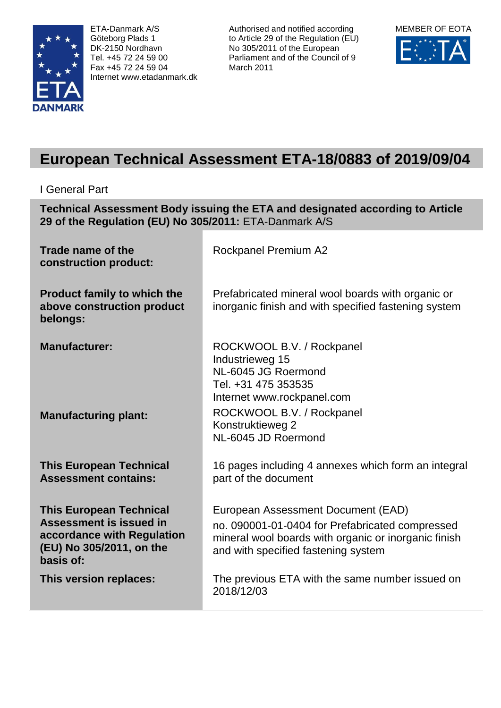

ETA-Danmark A/S Göteborg Plads 1 DK-2150 Nordhavn Tel. +45 72 24 59 00 Fax +45 72 24 59 04 Internet www.etadanmark.dk

Authorised and notified according to Article 29 of the Regulation (EU) No 305/2011 of the European Parliament and of the Council of 9 March 2011



# **European Technical Assessment ETA-18/0883 of 2019/09/04**

I General Part

**Technical Assessment Body issuing the ETA and designated according to Article 29 of the Regulation (EU) No 305/2011:** ETA-Danmark A/S

| Trade name of the<br>construction product:                                                                                       | Rockpanel Premium A2                                                                                                                                                                 |
|----------------------------------------------------------------------------------------------------------------------------------|--------------------------------------------------------------------------------------------------------------------------------------------------------------------------------------|
| <b>Product family to which the</b><br>above construction product<br>belongs:                                                     | Prefabricated mineral wool boards with organic or<br>inorganic finish and with specified fastening system                                                                            |
| <b>Manufacturer:</b>                                                                                                             | ROCKWOOL B.V. / Rockpanel<br>Industrieweg 15<br>NL-6045 JG Roermond<br>Tel. +31 475 353535<br>Internet www.rockpanel.com                                                             |
| <b>Manufacturing plant:</b>                                                                                                      | ROCKWOOL B.V. / Rockpanel<br>Konstruktieweg 2<br>NL-6045 JD Roermond                                                                                                                 |
| <b>This European Technical</b><br><b>Assessment contains:</b>                                                                    | 16 pages including 4 annexes which form an integral<br>part of the document                                                                                                          |
| <b>This European Technical</b><br>Assessment is issued in<br>accordance with Regulation<br>(EU) No 305/2011, on the<br>basis of: | European Assessment Document (EAD)<br>no. 090001-01-0404 for Prefabricated compressed<br>mineral wool boards with organic or inorganic finish<br>and with specified fastening system |
| This version replaces:                                                                                                           | The previous ETA with the same number issued on<br>2018/12/03                                                                                                                        |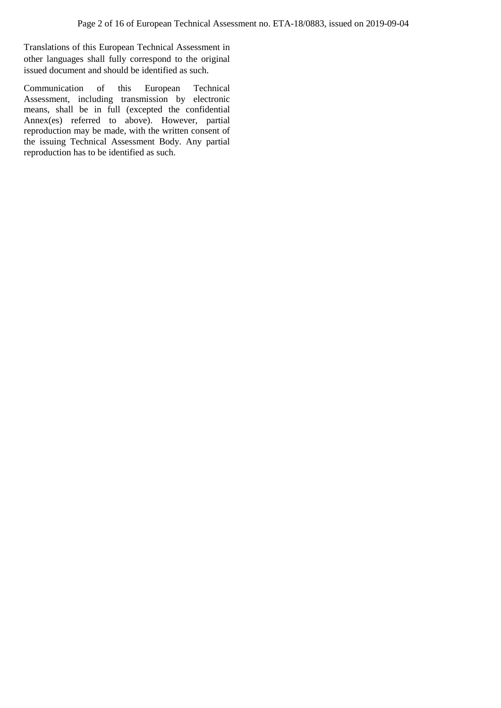Translations of this European Technical Assessment in other languages shall fully correspond to the original issued document and should be identified as such.

Communication of this European Technical Assessment, including transmission by electronic means, shall be in full (excepted the confidential Annex(es) referred to above). However, partial reproduction may be made, with the written consent of the issuing Technical Assessment Body. Any partial reproduction has to be identified as such.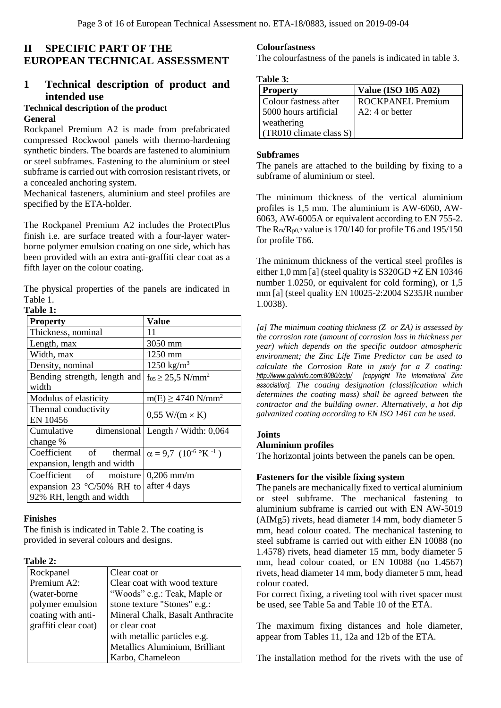## **II SPECIFIC PART OF THE EUROPEAN TECHNICAL ASSESSMENT**

## **1 Technical description of product and intended use**

## **Technical description of the product**

#### **General**

Rockpanel Premium A2 is made from prefabricated compressed Rockwool panels with thermo-hardening synthetic binders. The boards are fastened to aluminium or steel subframes. Fastening to the aluminium or steel subframe is carried out with corrosion resistant rivets, or a concealed anchoring system.

Mechanical fasteners, aluminium and steel profiles are specified by the ETA-holder.

The Rockpanel Premium A2 includes the ProtectPlus finish i.e. are surface treated with a four-layer waterborne polymer emulsion coating on one side, which has been provided with an extra anti-graffiti clear coat as a fifth layer on the colour coating.

The physical properties of the panels are indicated in Table 1.

## **Table 1:**

| <b>Property</b>                    | <b>Value</b>                         |  |
|------------------------------------|--------------------------------------|--|
| Thickness, nominal                 | 11                                   |  |
| Length, max                        | 3050 mm                              |  |
| Width, max                         | 1250 mm                              |  |
| Density, nominal                   | $1250 \text{ kg/m}^3$                |  |
| Bending strength, length and       | $f_{05} \geq 25.5$ N/mm <sup>2</sup> |  |
| width                              |                                      |  |
| Modulus of elasticity              | $m(E) \ge 4740$ N/mm <sup>2</sup>    |  |
| Thermal conductivity               | $0.55$ W/(m $\times$ K)              |  |
| EN 10456                           |                                      |  |
| Cumulative                         | dimensional   Length / Width: 0,064  |  |
| change %                           |                                      |  |
| Coefficient of<br>thermal          | $\alpha = 9.7 (10^{-6}$ °K $^{-1}$ ) |  |
| expansion, length and width        |                                      |  |
| Coefficient of moisture            | $0,206$ mm/m                         |  |
| expansion 23 $\degree$ C/50% RH to | after 4 days                         |  |
| 92% RH, length and width           |                                      |  |

#### **Finishes**

The finish is indicated in Table 2. The coating is provided in several colours and designs.

#### **Table 2:**

| Rockpanel            | Clear coat or                    |
|----------------------|----------------------------------|
| Premium A2:          | Clear coat with wood texture     |
| (water-borne         | "Woods" e.g.: Teak, Maple or     |
| polymer emulsion     | stone texture "Stones" e.g.:     |
| coating with anti-   | Mineral Chalk, Basalt Anthracite |
| graffiti clear coat) | or clear coat                    |
|                      | with metallic particles e.g.     |
|                      | Metallics Aluminium, Brilliant   |
|                      | Karbo, Chameleon                 |

#### **Colourfastness**

The colourfastness of the panels is indicated in table 3.

#### **Table 3:**

| <b>Property</b>                    | <b>Value (ISO 105 A02)</b> |
|------------------------------------|----------------------------|
| Colour fastness after              | ROCKPANEL Premium          |
| 5000 hours artificial              | $A2: 4$ or better          |
| weathering                         |                            |
| $(TR010 \text{ climate class } S)$ |                            |

#### **Subframes**

The panels are attached to the building by fixing to a subframe of aluminium or steel.

The minimum thickness of the vertical aluminium profiles is 1,5 mm. The aluminium is AW-6060, AW-6063, AW-6005A or equivalent according to EN 755-2. The R<sub>m</sub>/R<sub>p0,2</sub> value is 170/140 for profile T6 and 195/150 for profile T66.

The minimum thickness of the vertical steel profiles is either 1,0 mm [a] (steel quality is S320GD +Z EN 10346 number 1.0250, or equivalent for cold forming), or 1,5 mm [a] (steel quality EN 10025-2:2004 S235JR number 1.0038).

*[a] The minimum coating thickness (Z or ZA) is assessed by the corrosion rate (amount of corrosion loss in thickness per year) which depends on the specific outdoor atmospheric environment; the Zinc Life Time Predictor can be used to calculate the Corrosion Rate in m/y for a Z coating: <http://www.galvinfo.com:8080/zclp/>[copyright The International Zinc association]. The coating designation (classification which determines the coating mass) shall be agreed between the contractor and the building owner. Alternatively, a hot dip galvanized coating according to EN ISO 1461 can be used.*

#### **Joints**

#### **Aluminium profiles**

The horizontal joints between the panels can be open.

#### **Fasteners for the visible fixing system**

The panels are mechanically fixed to vertical aluminium or steel subframe. The mechanical fastening to aluminium subframe is carried out with EN AW-5019 (AIMg5) rivets, head diameter 14 mm, body diameter 5 mm, head colour coated. The mechanical fastening to steel subframe is carried out with either EN 10088 (no 1.4578) rivets, head diameter 15 mm, body diameter 5 mm, head colour coated, or EN 10088 (no 1.4567) rivets, head diameter 14 mm, body diameter 5 mm, head colour coated.

For correct fixing, a riveting tool with rivet spacer must be used, see Table 5a and Table 10 of the ETA.

The maximum fixing distances and hole diameter, appear from Tables 11, 12a and 12b of the ETA.

The installation method for the rivets with the use of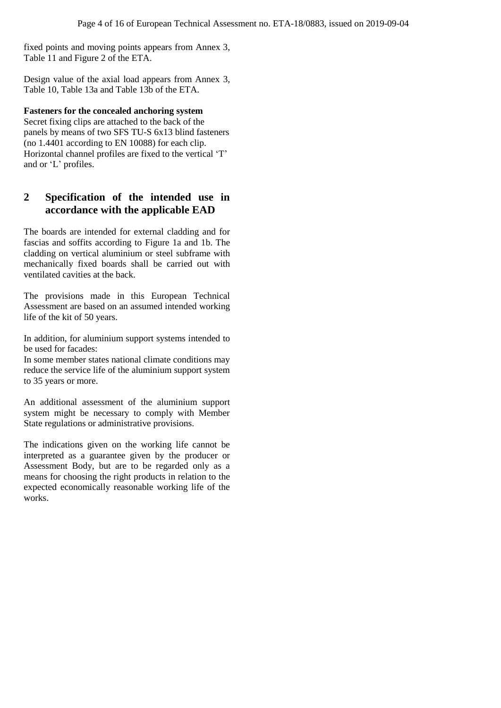fixed points and moving points appears from Annex 3, Table 11 and Figure 2 of the ETA.

Design value of the axial load appears from Annex 3, Table 10, Table 13a and Table 13b of the ETA.

#### **Fasteners for the concealed anchoring system**

Secret fixing clips are attached to the back of the panels by means of two SFS TU-S 6x13 blind fasteners (no 1.4401 according to EN 10088) for each clip. Horizontal channel profiles are fixed to the vertical 'T' and or 'L' profiles.

## **2 Specification of the intended use in accordance with the applicable EAD**

The boards are intended for external cladding and for fascias and soffits according to Figure 1a and 1b. The cladding on vertical aluminium or steel subframe with mechanically fixed boards shall be carried out with ventilated cavities at the back.

The provisions made in this European Technical Assessment are based on an assumed intended working life of the kit of 50 years.

In addition, for aluminium support systems intended to be used for facades:

In some member states national climate conditions may reduce the service life of the aluminium support system to 35 years or more.

An additional assessment of the aluminium support system might be necessary to comply with Member State regulations or administrative provisions.

The indications given on the working life cannot be interpreted as a guarantee given by the producer or Assessment Body, but are to be regarded only as a means for choosing the right products in relation to the expected economically reasonable working life of the works.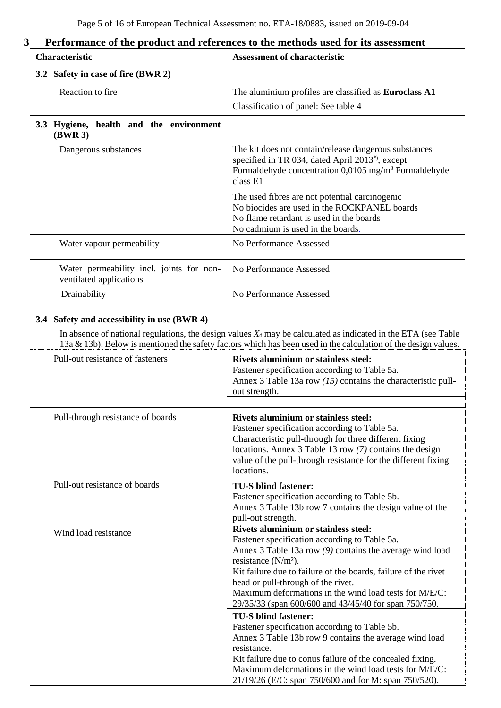| <b>Characteristic</b>                                                     | <b>Assessment of characteristic</b>                                                                                                                                                                    |  |
|---------------------------------------------------------------------------|--------------------------------------------------------------------------------------------------------------------------------------------------------------------------------------------------------|--|
| 3.2 Safety in case of fire (BWR 2)                                        |                                                                                                                                                                                                        |  |
| Reaction to fire                                                          | The aluminium profiles are classified as <b>Euroclass A1</b>                                                                                                                                           |  |
|                                                                           | Classification of panel: See table 4                                                                                                                                                                   |  |
| Hygiene, health and the environment<br>3.3 <sub>1</sub><br><b>(BWR 3)</b> |                                                                                                                                                                                                        |  |
| Dangerous substances                                                      | The kit does not contain/release dangerous substances<br>specified in TR 034, dated April 2013 <sup>*</sup> , except<br>Formaldehyde concentration $0,0105$ mg/m <sup>3</sup> Formaldehyde<br>class E1 |  |
|                                                                           | The used fibres are not potential carcinogenic<br>No biocides are used in the ROCKPANEL boards<br>No flame retardant is used in the boards<br>No cadmium is used in the boards.                        |  |
| Water vapour permeability                                                 | No Performance Assessed                                                                                                                                                                                |  |
| Water permeability incl. joints for non-<br>ventilated applications       | No Performance Assessed                                                                                                                                                                                |  |
| Drainability                                                              | No Performance Assessed                                                                                                                                                                                |  |

## **3 Performance of the product and references to the methods used for its assessment**

#### **3.4 Safety and accessibility in use (BWR 4)**

In absence of national regulations, the design values  $X_d$  may be calculated as indicated in the ETA (see Table 13a & 13b). Below is mentioned the safety factors which has been used in the calculation of the design values.

| Pull-out resistance of fasteners  | <b>Rivets aluminium or stainless steel:</b><br>Fastener specification according to Table 5a.<br>Annex 3 Table 13a row $(15)$ contains the characteristic pull-<br>out strength.                                                                                                                                                                                                                                |
|-----------------------------------|----------------------------------------------------------------------------------------------------------------------------------------------------------------------------------------------------------------------------------------------------------------------------------------------------------------------------------------------------------------------------------------------------------------|
| Pull-through resistance of boards | <b>Rivets aluminium or stainless steel:</b><br>Fastener specification according to Table 5a.<br>Characteristic pull-through for three different fixing<br>locations. Annex 3 Table 13 row (7) contains the design<br>value of the pull-through resistance for the different fixing<br>locations.                                                                                                               |
| Pull-out resistance of boards     | <b>TU-S blind fastener:</b><br>Fastener specification according to Table 5b.<br>Annex 3 Table 13b row 7 contains the design value of the<br>pull-out strength.                                                                                                                                                                                                                                                 |
| Wind load resistance              | <b>Rivets aluminium or stainless steel:</b><br>Fastener specification according to Table 5a.<br>Annex 3 Table 13a row $(9)$ contains the average wind load<br>resistance $(N/m2)$ .<br>Kit failure due to failure of the boards, failure of the rivet<br>head or pull-through of the rivet.<br>Maximum deformations in the wind load tests for M/E/C:<br>29/35/33 (span 600/600 and 43/45/40 for span 750/750. |
|                                   | <b>TU-S blind fastener:</b><br>Fastener specification according to Table 5b.<br>Annex 3 Table 13b row 9 contains the average wind load<br>resistance.<br>Kit failure due to conus failure of the concealed fixing.<br>Maximum deformations in the wind load tests for M/E/C:<br>21/19/26 (E/C: span 750/600 and for M: span 750/520).                                                                          |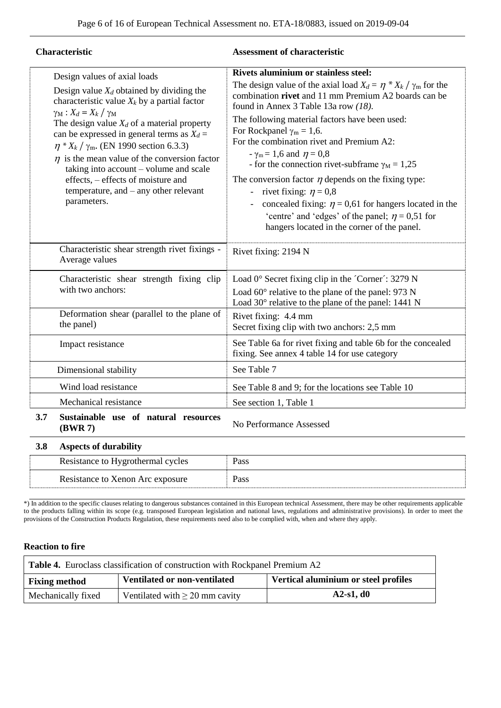| Characteristic                                                                                                                                                                                                                                                                                                                                                                                                                                                                                                            | <b>Assessment of characteristic</b>                                                                                                                                                                                                                                                                                                                                                                                                                                                                                                                                                                                                                                                                                            |
|---------------------------------------------------------------------------------------------------------------------------------------------------------------------------------------------------------------------------------------------------------------------------------------------------------------------------------------------------------------------------------------------------------------------------------------------------------------------------------------------------------------------------|--------------------------------------------------------------------------------------------------------------------------------------------------------------------------------------------------------------------------------------------------------------------------------------------------------------------------------------------------------------------------------------------------------------------------------------------------------------------------------------------------------------------------------------------------------------------------------------------------------------------------------------------------------------------------------------------------------------------------------|
| Design values of axial loads<br>Design value $X_d$ obtained by dividing the<br>characteristic value $X_k$ by a partial factor<br>$\gamma_M$ : $X_d = X_k / \gamma_M$<br>The design value $X_d$ of a material property<br>can be expressed in general terms as $X_d =$<br>$\eta * X_k / \gamma_m$ . (EN 1990 section 6.3.3)<br>$\eta$ is the mean value of the conversion factor<br>taking into account – volume and scale<br>effects, – effects of moisture and<br>temperature, and $-$ any other relevant<br>parameters. | <b>Rivets aluminium or stainless steel:</b><br>The design value of the axial load $X_d = \eta * X_k / \gamma_m$ for the<br>combination rivet and 11 mm Premium A2 boards can be<br>found in Annex 3 Table 13a row (18).<br>The following material factors have been used:<br>For Rockpanel $\gamma_m = 1.6$ .<br>For the combination rivet and Premium A2:<br>$-\gamma_{\rm m} = 1,6$ and $\eta = 0,8$<br>- for the connection rivet-subframe $\gamma_M = 1,25$<br>The conversion factor $\eta$ depends on the fixing type:<br>rivet fixing: $\eta = 0.8$<br>concealed fixing: $\eta = 0.61$ for hangers located in the<br>'centre' and 'edges' of the panel; $\eta = 0.51$ for<br>hangers located in the corner of the panel. |
| Characteristic shear strength rivet fixings -<br>Average values                                                                                                                                                                                                                                                                                                                                                                                                                                                           | Rivet fixing: 2194 N                                                                                                                                                                                                                                                                                                                                                                                                                                                                                                                                                                                                                                                                                                           |
| Characteristic shear strength fixing clip<br>with two anchors:                                                                                                                                                                                                                                                                                                                                                                                                                                                            | Load 0° Secret fixing clip in the 'Corner': 3279 N<br>Load $60^{\circ}$ relative to the plane of the panel: 973 N<br>Load $30^{\circ}$ relative to the plane of the panel: 1441 N                                                                                                                                                                                                                                                                                                                                                                                                                                                                                                                                              |
| Deformation shear (parallel to the plane of<br>the panel)                                                                                                                                                                                                                                                                                                                                                                                                                                                                 | Rivet fixing: 4.4 mm<br>Secret fixing clip with two anchors: 2,5 mm                                                                                                                                                                                                                                                                                                                                                                                                                                                                                                                                                                                                                                                            |
| Impact resistance                                                                                                                                                                                                                                                                                                                                                                                                                                                                                                         | See Table 6a for rivet fixing and table 6b for the concealed<br>fixing. See annex 4 table 14 for use category                                                                                                                                                                                                                                                                                                                                                                                                                                                                                                                                                                                                                  |
| Dimensional stability                                                                                                                                                                                                                                                                                                                                                                                                                                                                                                     | See Table 7                                                                                                                                                                                                                                                                                                                                                                                                                                                                                                                                                                                                                                                                                                                    |
| Wind load resistance                                                                                                                                                                                                                                                                                                                                                                                                                                                                                                      | See Table 8 and 9; for the locations see Table 10                                                                                                                                                                                                                                                                                                                                                                                                                                                                                                                                                                                                                                                                              |
| Mechanical resistance                                                                                                                                                                                                                                                                                                                                                                                                                                                                                                     | See section 1, Table 1                                                                                                                                                                                                                                                                                                                                                                                                                                                                                                                                                                                                                                                                                                         |
| 3.7<br>Sustainable use of natural resources<br>(BWR7)                                                                                                                                                                                                                                                                                                                                                                                                                                                                     | No Performance Assessed                                                                                                                                                                                                                                                                                                                                                                                                                                                                                                                                                                                                                                                                                                        |

## **3.8 Aspects of durability**

| Resistance to Hygrothermal cycles | Pass |
|-----------------------------------|------|
| Resistance to Xenon Arc exposure  | Pass |

\*) In addition to the specific clauses relating to dangerous substances contained in this European technical Assessment, there may be other requirements applicable to the products falling within its scope (e.g. transposed European legislation and national laws, regulations and administrative provisions). In order to meet the provisions of the Construction Products Regulation, these requirements need also to be complied with, when and where they apply.

#### **Reaction to fire**

| <b>Table 4.</b> Euroclass classification of construction with Rockpanel Premium A2    |                                     |             |  |  |
|---------------------------------------------------------------------------------------|-------------------------------------|-------------|--|--|
| Ventilated or non-ventilated<br>Vertical aluminium or steel profiles<br>Fixing method |                                     |             |  |  |
| Mechanically fixed                                                                    | Ventilated with $\geq 20$ mm cavity | $A2-s1, d0$ |  |  |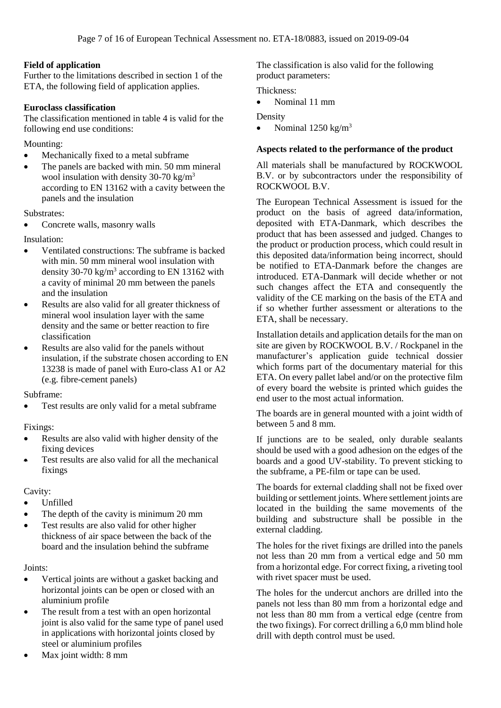#### **Field of application**

Further to the limitations described in section 1 of the ETA, the following field of application applies.

#### **Euroclass classification**

The classification mentioned in table 4 is valid for the following end use conditions:

Mounting:

- Mechanically fixed to a metal subframe
- The panels are backed with min. 50 mm mineral wool insulation with density 30-70 kg/ $m<sup>3</sup>$ according to EN 13162 with a cavity between the panels and the insulation

Substrates:

• Concrete walls, masonry walls

Insulation:

- Ventilated constructions: The subframe is backed with min. 50 mm mineral wool insulation with density 30-70 kg/m<sup>3</sup> according to EN 13162 with a cavity of minimal 20 mm between the panels and the insulation
- Results are also valid for all greater thickness of mineral wool insulation layer with the same density and the same or better reaction to fire classification
- Results are also valid for the panels without insulation, if the substrate chosen according to EN 13238 is made of panel with Euro-class A1 or A2 (e.g. fibre-cement panels)

Subframe:

Test results are only valid for a metal subframe

Fixings:

- Results are also valid with higher density of the fixing devices
- Test results are also valid for all the mechanical fixings

#### Cavity:

- Unfilled
- The depth of the cavity is minimum 20 mm
- Test results are also valid for other higher thickness of air space between the back of the board and the insulation behind the subframe

#### Joints:

- Vertical joints are without a gasket backing and horizontal joints can be open or closed with an aluminium profile
- The result from a test with an open horizontal joint is also valid for the same type of panel used in applications with horizontal joints closed by steel or aluminium profiles
- Max joint width: 8 mm

The classification is also valid for the following product parameters:

Thickness:

• Nominal 11 mm

#### Density

• Nominal  $1250 \text{ kg/m}^3$ 

#### **Aspects related to the performance of the product**

All materials shall be manufactured by ROCKWOOL B.V. or by subcontractors under the responsibility of ROCKWOOL B.V.

The European Technical Assessment is issued for the product on the basis of agreed data/information, deposited with ETA-Danmark, which describes the product that has been assessed and judged. Changes to the product or production process, which could result in this deposited data/information being incorrect, should be notified to ETA-Danmark before the changes are introduced. ETA-Danmark will decide whether or not such changes affect the ETA and consequently the validity of the CE marking on the basis of the ETA and if so whether further assessment or alterations to the ETA, shall be necessary.

Installation details and application details for the man on site are given by ROCKWOOL B.V. / Rockpanel in the manufacturer's application guide technical dossier which forms part of the documentary material for this ETA. On every pallet label and/or on the protective film of every board the website is printed which guides the end user to the most actual information.

The boards are in general mounted with a joint width of between 5 and 8 mm.

If junctions are to be sealed, only durable sealants should be used with a good adhesion on the edges of the boards and a good UV-stability. To prevent sticking to the subframe, a PE-film or tape can be used.

The boards for external cladding shall not be fixed over building or settlement joints. Where settlement joints are located in the building the same movements of the building and substructure shall be possible in the external cladding.

The holes for the rivet fixings are drilled into the panels not less than 20 mm from a vertical edge and 50 mm from a horizontal edge. For correct fixing, a riveting tool with rivet spacer must be used.

The holes for the undercut anchors are drilled into the panels not less than 80 mm from a horizontal edge and not less than 80 mm from a vertical edge (centre from the two fixings). For correct drilling a  $6,0$  mm blind hole drill with depth control must be used.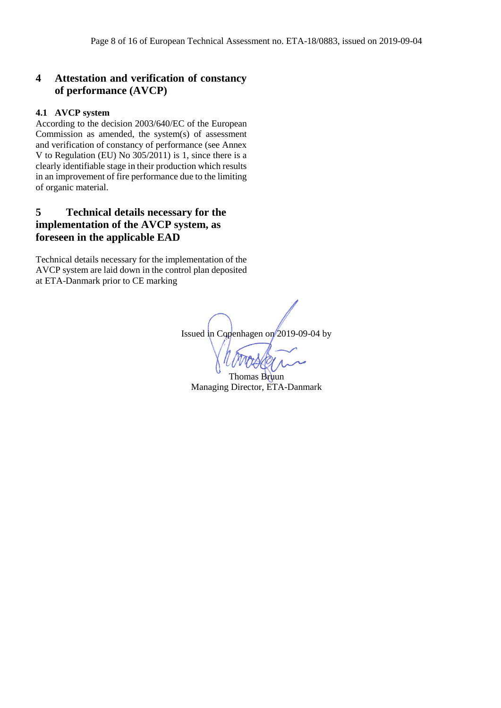## **4 Attestation and verification of constancy of performance (AVCP)**

#### **4.1 AVCP system**

According to the decision 2003/640/EC of the European Commission as amended, the system(s) of assessment and verification of constancy of performance (see Annex V to Regulation (EU) No 305/2011) is 1, since there is a clearly identifiable stage in their production which results in an improvement of fire performance due to the limiting of organic material.

## **5 Technical details necessary for the implementation of the AVCP system, as foreseen in the applicable EAD**

Technical details necessary for the implementation of the AVCP system are laid down in the control plan deposited at ETA-Danmark prior to CE marking

Issued in Copenhagen on 2019-09-04 by

Thomas Bruun Managing Director, ETA-Danmark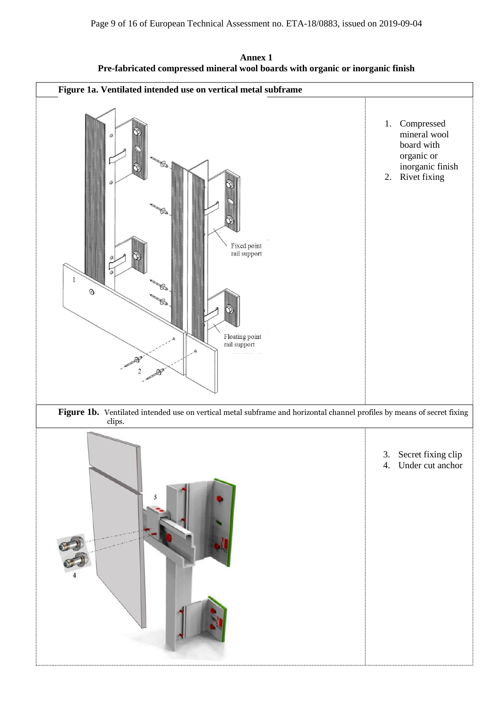**Annex 1 Pre-fabricated compressed mineral wool boards with organic or inorganic finish**

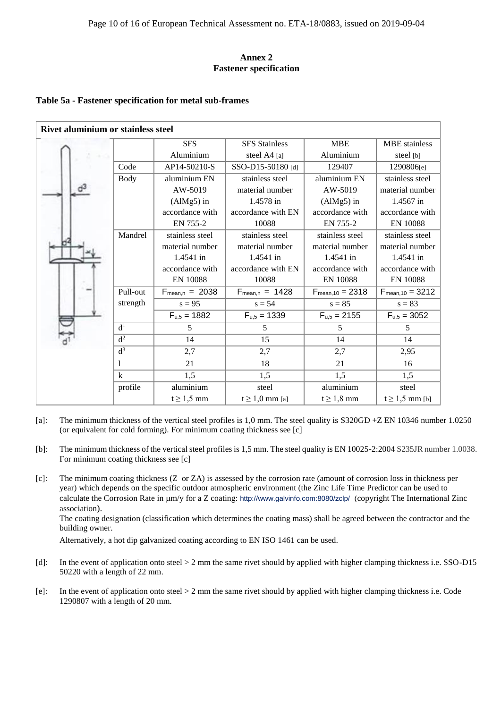#### **Annex 2 Fastener specification**

#### **Table 5a - Fastener specification for metal sub-frames**

| <b>Rivet aluminium or stainless steel</b> |                      |                     |                      |                       |                       |
|-------------------------------------------|----------------------|---------------------|----------------------|-----------------------|-----------------------|
|                                           |                      | <b>SFS</b>          | <b>SFS</b> Stainless | <b>MBE</b>            | <b>MBE</b> stainless  |
|                                           |                      | Aluminium           | steel A4 [a]         | Aluminium             | steel [b]             |
|                                           | AP14-50210-S<br>Code |                     | SSO-D15-50180 [d]    | 129407                | 1290806[e]            |
|                                           | <b>Body</b>          | aluminium EN        | stainless steel      | aluminium EN          | stainless steel       |
|                                           |                      | AW-5019             | material number      | AW-5019               | material number       |
|                                           |                      | $(AlMg5)$ in        | 1.4578 in            | $(AlMg5)$ in          | 1.4567 in             |
|                                           |                      | accordance with     | accordance with EN   | accordance with       | accordance with       |
|                                           |                      | EN 755-2            | 10088                | EN 755-2              | <b>EN 10088</b>       |
|                                           | Mandrel              | stainless steel     | stainless steel      | stainless steel       | stainless steel       |
|                                           |                      | material number     | material number      | material number       | material number       |
|                                           |                      | 1.4541 in           | 1.4541 in            | 1.4541 in             | 1.4541 in             |
|                                           |                      | accordance with     | accordance with EN   | accordance with       | accordance with       |
|                                           |                      | <b>EN 10088</b>     | 10088                | <b>EN 10088</b>       | <b>EN 10088</b>       |
|                                           | Pull-out             | $F_{mean,n} = 2038$ | $F_{mean,n} = 1428$  | $F_{mean, 10} = 2318$ | $F_{mean, 10} = 3212$ |
|                                           | strength             | $s = 95$            | $s = 54$             | $s = 85$              | $s = 83$              |
|                                           |                      | $F_{u,5} = 1882$    | $F_{u,5} = 1339$     | $F_{u,5} = 2155$      | $F_{u,5} = 3052$      |
|                                           | d <sup>1</sup>       | 5                   | 5                    | 5                     | 5                     |
|                                           | d <sup>2</sup>       | 14                  | 15                   | 14                    | 14                    |
|                                           | $d^3$                | 2,7                 | 2,7                  | 2,7                   | 2,95                  |
|                                           | 1                    | 21                  | 18                   | 21                    | 16                    |
|                                           | $\mathbf{k}$         | 1,5                 | 1,5                  | 1,5                   | 1,5                   |
|                                           | profile              | aluminium           | steel                | aluminium             | steel                 |
|                                           |                      | $t \geq 1.5$ mm     | $t \geq 1,0$ mm [a]  | $t \geq 1,8$ mm       | $t \geq 1.5$ mm [b]   |

- [a]: The minimum thickness of the vertical steel profiles is 1,0 mm. The steel quality is S320GD +Z EN 10346 number 1.0250 (or equivalent for cold forming). For minimum coating thickness see [c]
- [b]: The minimum thickness of the vertical steel profiles is 1,5 mm. The steel quality is EN 10025-2:2004 S235JR number 1.0038. For minimum coating thickness see [c]
- [c]: The minimum coating thickness (Z or ZA) is assessed by the corrosion rate (amount of corrosion loss in thickness per year) which depends on the specific outdoor atmospheric environment (the Zinc Life Time Predictor can be used to calculate the Corrosion Rate in  $\mu$ m/y for a Z coating: <http://www.galvinfo.com:8080/zclp/> (copyright The International Zinc association).

The coating designation (classification which determines the coating mass) shall be agreed between the contractor and the building owner.

Alternatively, a hot dip galvanized coating according to EN ISO 1461 can be used.

- [d]: In the event of application onto steel > 2 mm the same rivet should by applied with higher clamping thickness i.e. SSO-D15 50220 with a length of 22 mm.
- [e]: In the event of application onto steel > 2 mm the same rivet should by applied with higher clamping thickness i.e. Code 1290807 with a length of 20 mm.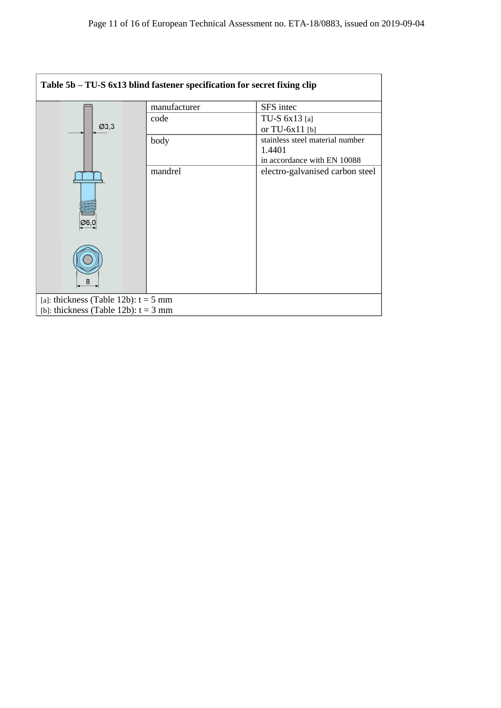| Table 5b – TU-S 6x13 blind fastener specification for secret fixing clip         |              |                                                                          |  |  |
|----------------------------------------------------------------------------------|--------------|--------------------------------------------------------------------------|--|--|
|                                                                                  | manufacturer | SFS intec                                                                |  |  |
| Ø3,3                                                                             | code         | TU-S $6x13$ [a]<br>or TU-6x11 [b]                                        |  |  |
|                                                                                  | body         | stainless steel material number<br>1.4401<br>in accordance with EN 10088 |  |  |
| Ø6.C                                                                             | mandrel      | electro-galvanised carbon steel                                          |  |  |
| 8                                                                                |              |                                                                          |  |  |
| [a]: thickness (Table 12b): $t = 5$ mm<br>[b]: thickness (Table 12b): $t = 3$ mm |              |                                                                          |  |  |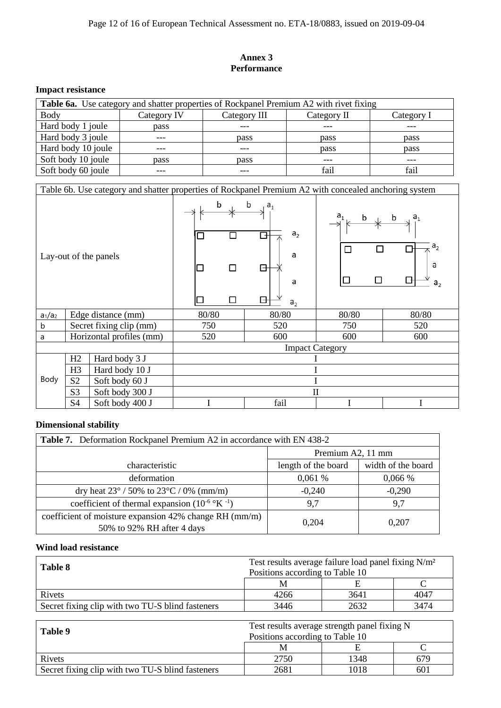#### **Annex 3 Performance**

## **Impact resistance**

| Table 6a. Use category and shatter properties of Rockpanel Premium A2 with rivet fixing |             |              |             |            |  |
|-----------------------------------------------------------------------------------------|-------------|--------------|-------------|------------|--|
| Body                                                                                    | Category IV | Category III | Category II | Category I |  |
| Hard body 1 joule                                                                       | pass        |              |             |            |  |
| Hard body 3 joule                                                                       | ---         | pass         | pass        | pass       |  |
| Hard body 10 joule                                                                      |             |              | pass        | pass       |  |
| Soft body 10 joule                                                                      | pass        | pass         | ---         | $- - -$    |  |
| Soft body 60 joule                                                                      | $- - -$     | ---          | fail        | fail       |  |

|                                  |                |                          | Table 6b. Use category and shatter properties of Rockpanel Premium A2 with concealed anchoring system |                                                                                  |                        |                                                              |       |  |
|----------------------------------|----------------|--------------------------|-------------------------------------------------------------------------------------------------------|----------------------------------------------------------------------------------|------------------------|--------------------------------------------------------------|-------|--|
| Lay-out of the panels            |                | b                        | □                                                                                                     | b<br>a <sub>1</sub><br>a <sub>2</sub><br>╕<br>a<br>⊟<br>a<br>G<br>a <sub>2</sub> | $a_{1}$<br>b<br>$\Box$ | a <sub>1</sub><br>b<br>a <sub>2</sub><br>a<br>a <sub>2</sub> |       |  |
| $a_1/a_2$                        |                | Edge distance (mm)       | 80/80                                                                                                 |                                                                                  | 80/80                  | 80/80                                                        | 80/80 |  |
| b                                |                | Secret fixing clip (mm)  | 750                                                                                                   |                                                                                  | 520                    | 750                                                          | 520   |  |
| a                                |                | Horizontal profiles (mm) | 520                                                                                                   |                                                                                  | 600                    | 600<br>600                                                   |       |  |
|                                  |                |                          | <b>Impact Category</b>                                                                                |                                                                                  |                        |                                                              |       |  |
|                                  | H2             | Hard body 3 J            |                                                                                                       |                                                                                  |                        |                                                              |       |  |
| H <sub>3</sub><br>Hard body 10 J |                |                          |                                                                                                       |                                                                                  |                        |                                                              |       |  |
| Body                             | S <sub>2</sub> | Soft body 60 J           |                                                                                                       |                                                                                  |                        |                                                              |       |  |
|                                  | S <sub>3</sub> | Soft body 300 J          |                                                                                                       |                                                                                  | $\mathbf{I}$           |                                                              |       |  |
|                                  | S <sub>4</sub> | Soft body 400 J          |                                                                                                       |                                                                                  | fail                   |                                                              |       |  |

## **Dimensional stability**

| <b>Table 7.</b> Deformation Rockpanel Premium A2 in accordance with EN 438-2         |                     |                    |
|--------------------------------------------------------------------------------------|---------------------|--------------------|
|                                                                                      | Premium A2, 11 mm   |                    |
| characteristic                                                                       | length of the board | width of the board |
| deformation                                                                          | 0,061%              | 0,066%             |
| dry heat $23^{\circ}$ / 50% to $23^{\circ}$ C / 0% (mm/m)                            | $-0,240$            | $-0,290$           |
| coefficient of thermal expansion $(10^{-6} \text{°K}^{-1})$                          | 9,7                 | 9,7                |
| coefficient of moisture expansion 42% change RH (mm/m)<br>50% to 92% RH after 4 days | 0,204               | 0,207              |

## **Wind load resistance**

| Table 8                                          | Test results average failure load panel fixing N/m <sup>2</sup><br>Positions according to Table 10 |      |      |  |  |
|--------------------------------------------------|----------------------------------------------------------------------------------------------------|------|------|--|--|
|                                                  | M                                                                                                  |      |      |  |  |
| <b>Rivets</b>                                    | 4266                                                                                               | 3641 | 4047 |  |  |
| Secret fixing clip with two TU-S blind fasteners | 3446                                                                                               | 2632 | 3474 |  |  |

| Table 9                                          | Test results average strength panel fixing N<br>Positions according to Table 10 |      |     |  |  |
|--------------------------------------------------|---------------------------------------------------------------------------------|------|-----|--|--|
|                                                  |                                                                                 |      |     |  |  |
| Rivets                                           | 2750                                                                            | 1348 | 679 |  |  |
| Secret fixing clip with two TU-S blind fasteners | 2681                                                                            | 1018 | 601 |  |  |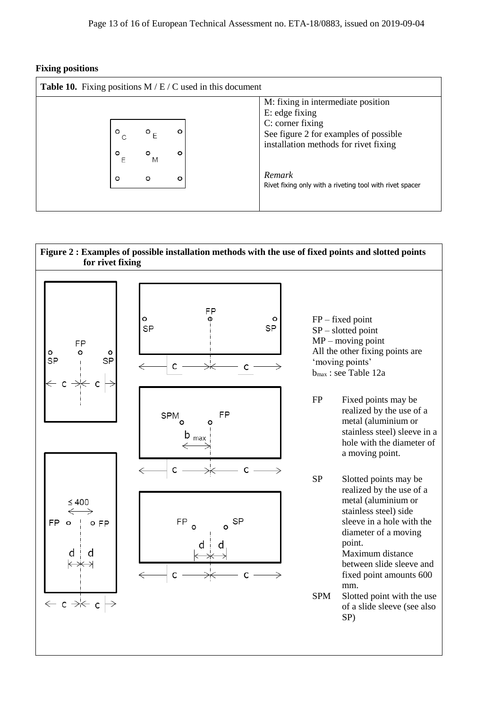**Fixing positions** 

|              |              |   | M: fixing in intermediate position                                 |
|--------------|--------------|---|--------------------------------------------------------------------|
|              |              |   | E: edge fixing<br>C: corner fixing                                 |
|              |              |   | See figure 2 for examples of possible                              |
| $\circ$<br>F | $\circ$<br>M | ٥ | installation methods for rivet fixing                              |
| $\circ$      | $\circ$      | o | Remark<br>Rivet fixing only with a riveting tool with rivet spacer |

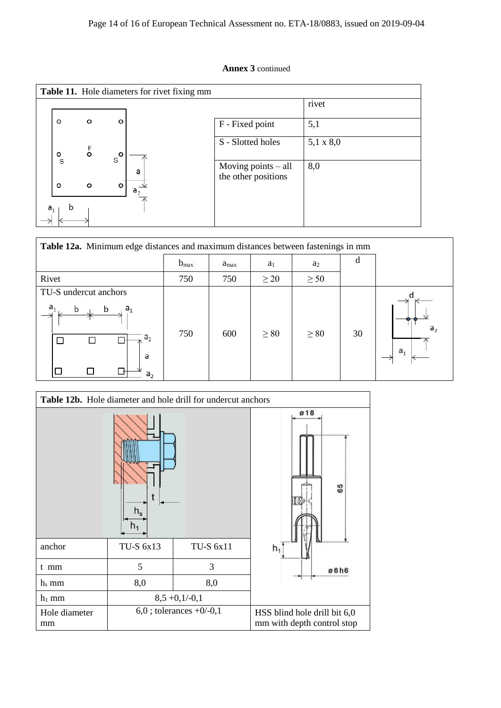#### **Annex 3** continued

|                |              |                |             | <b>Table 11.</b> Hole diameters for rivet fixing mm |                                            |                  |
|----------------|--------------|----------------|-------------|-----------------------------------------------------|--------------------------------------------|------------------|
|                |              |                |             |                                                     |                                            | rivet            |
|                | o            | o              | $\circ$     |                                                     | F - Fixed point                            | 5,1              |
|                | o            | $\overline{6}$ | $s^{\circ}$ |                                                     | S - Slotted holes                          | $5,1 \times 8,0$ |
|                | S<br>$\circ$ | $\circ$        | o           | a                                                   | Moving points - all<br>the other positions | 8,0              |
| a <sub>1</sub> |              |                |             | a <sub>2</sub>                                      |                                            |                  |

| Table 12a. Minimum edge distances and maximum distances between fastenings in mm          |                  |                  |           |           |    |                |
|-------------------------------------------------------------------------------------------|------------------|------------------|-----------|-----------|----|----------------|
|                                                                                           | $b_{\text{max}}$ | $a_{\text{max}}$ | $a_1$     | $a_2$     | d  |                |
| Rivet                                                                                     | 750              | 750              | $\geq 20$ | $\geq 50$ |    |                |
| TU-S undercut anchors<br>a.<br>$a_{1}$<br>b<br>b<br>a <sub>2</sub><br>a<br>a <sub>2</sub> | 750              | 600              | $\geq 80$ | $\geq 80$ | 30 | a <sub>1</sub> |

|                     | Table 12b. Hole diameter and hole drill for undercut anchors |                            |                                                            |  |  |  |
|---------------------|--------------------------------------------------------------|----------------------------|------------------------------------------------------------|--|--|--|
|                     | t<br>$h_{s}$<br>n <sub>1</sub>                               |                            | ø18<br>65                                                  |  |  |  |
| anchor              | TU-S 6x13                                                    | TU-S 6x11                  | $h_1$                                                      |  |  |  |
| t mm                | 5                                                            | 3                          | ø6h6                                                       |  |  |  |
| $h_s$ mm            | 8,0                                                          | 8,0                        |                                                            |  |  |  |
| $h_1$ mm            |                                                              | $8,5 +0,1/-0,1$            |                                                            |  |  |  |
| Hole diameter<br>mm |                                                              | $6,0$ ; tolerances +0/-0,1 | HSS blind hole drill bit 6,0<br>mm with depth control stop |  |  |  |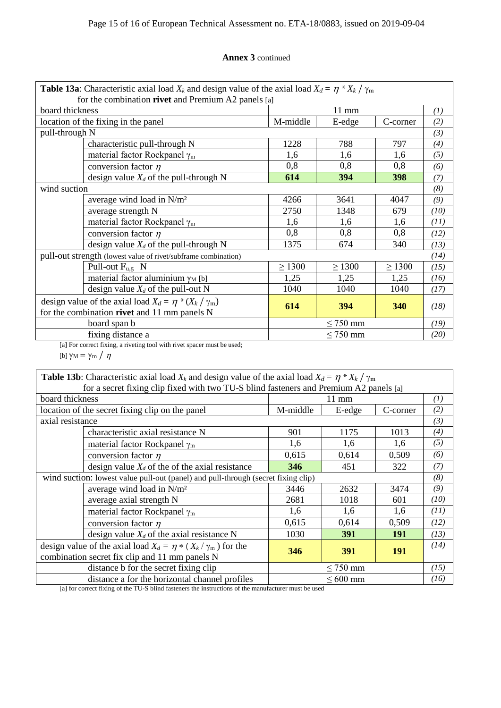#### **Annex 3** continued

| <b>Table 13a:</b> Characteristic axial load $X_k$ and design value of the axial load $X_d = \eta * X_k / \gamma_m$ |                                                                         |               |                 |             |      |
|--------------------------------------------------------------------------------------------------------------------|-------------------------------------------------------------------------|---------------|-----------------|-------------|------|
| for the combination rivet and Premium A2 panels [a]                                                                |                                                                         |               |                 |             |      |
| board thickness                                                                                                    |                                                                         |               | $11 \text{ mm}$ |             | (1)  |
|                                                                                                                    | location of the fixing in the panel                                     | M-middle      | E-edge          | C-corner    | (2)  |
| pull-through N                                                                                                     |                                                                         |               |                 |             | (3)  |
|                                                                                                                    | characteristic pull-through N                                           | 1228          | 788             | 797         | (4)  |
|                                                                                                                    | material factor Rockpanel $\gamma_m$                                    | 1,6           | 1,6             | 1,6         | (5)  |
|                                                                                                                    | conversion factor $\eta$                                                | 0,8           | 0,8             | 0,8         | (6)  |
|                                                                                                                    | design value $X_d$ of the pull-through N                                | 614           | 394             | 398         | (7)  |
| wind suction                                                                                                       |                                                                         |               |                 |             | (8)  |
|                                                                                                                    | average wind load in $N/m^2$                                            |               | 3641            | 4047        | (9)  |
|                                                                                                                    | average strength N                                                      | 2750          | 1348            | 679         | (10) |
|                                                                                                                    | material factor Rockpanel $\gamma_m$                                    | 1,6           | 1,6             | 1,6         | (11) |
|                                                                                                                    | conversion factor $\eta$                                                | 0,8           | 0,8             | 0,8         | (12) |
|                                                                                                                    | design value $X_d$ of the pull-through N                                | 1375          | 674             | 340         | (13) |
|                                                                                                                    | pull-out strength (lowest value of rivet/subframe combination)          |               |                 |             | (14) |
|                                                                                                                    | Pull-out $F_{u,5}$ N                                                    | $\geq 1300$   | $\geq 1300$     | $\geq$ 1300 | (15) |
|                                                                                                                    | material factor aluminium $\gamma_M$ [b]                                | 1,25          | 1,25            | 1,25        | (16) |
|                                                                                                                    | design value $X_d$ of the pull-out N                                    | 1040          | 1040            | 1040        | (17) |
|                                                                                                                    | design value of the axial load $X_d = \eta * (X_k / \gamma_m)$          |               |                 |             |      |
|                                                                                                                    | for the combination rivet and 11 mm panels N                            | 614           | 394             | 340         | (18) |
|                                                                                                                    | board span b                                                            | $\leq$ 750 mm |                 |             | (19) |
|                                                                                                                    | fixing distance a                                                       |               | $\leq$ 750 mm   |             | (20) |
|                                                                                                                    | [a] For correct fixing, a riveting tool with rivet spacer must be used; |               |                 |             |      |

[b]  $\gamma_M = \gamma_m / \eta$ 

| <b>Table 13b:</b> Characteristic axial load $X_k$ and design value of the axial load $X_d = \eta * X_k / \gamma_m$ |                                                                                   |               |                 |            |                  |
|--------------------------------------------------------------------------------------------------------------------|-----------------------------------------------------------------------------------|---------------|-----------------|------------|------------------|
| for a secret fixing clip fixed with two TU-S blind fasteners and Premium A2 panels [a]                             |                                                                                   |               |                 |            |                  |
| board thickness                                                                                                    |                                                                                   |               | $11 \text{ mm}$ |            | $\left(1\right)$ |
|                                                                                                                    | location of the secret fixing clip on the panel                                   | M-middle      | E-edge          | C-corner   | (2)              |
| axial resistance                                                                                                   |                                                                                   |               |                 |            | (3)              |
|                                                                                                                    | characteristic axial resistance N                                                 | 901           | 1175            | 1013       | (4)              |
|                                                                                                                    | material factor Rockpanel $\gamma_m$                                              | 1,6           | 1,6             | 1.6        | (5)              |
|                                                                                                                    | conversion factor $\eta$                                                          | 0,615         | 0,614           | 0,509      | (6)              |
|                                                                                                                    | design value $X_d$ of the of the axial resistance                                 | 346           | 451             | 322        | (7)              |
|                                                                                                                    | wind suction: lowest value pull-out (panel) and pull-through (secret fixing clip) |               | (8)             |            |                  |
| average wind load in N/m <sup>2</sup>                                                                              |                                                                                   | 3446          | 2632            | 3474       | (9)              |
|                                                                                                                    | average axial strength N                                                          |               | 1018            | 601        | (10)             |
|                                                                                                                    | material factor Rockpanel $\gamma_m$                                              |               | 1,6             | 1,6        | (11)             |
|                                                                                                                    | conversion factor $\eta$                                                          | 0,615         | 0,614           | 0,509      | (12)             |
|                                                                                                                    | design value $X_d$ of the axial resistance N                                      |               | 391             | 191        | (13)             |
|                                                                                                                    | design value of the axial load $X_d = \eta * (X_k / \gamma_m)$ for the            | 346           | <b>391</b>      | <b>191</b> | (14)             |
| combination secret fix clip and 11 mm panels N                                                                     |                                                                                   |               |                 |            |                  |
|                                                                                                                    | distance b for the secret fixing clip                                             | $\leq$ 750 mm |                 |            | (15)             |
|                                                                                                                    | distance a for the horizontal channel profiles                                    |               | $\leq 600$ mm   |            | (16)             |

[a] for correct fixing of the TU-S blind fasteners the instructions of the manufacturer must be used